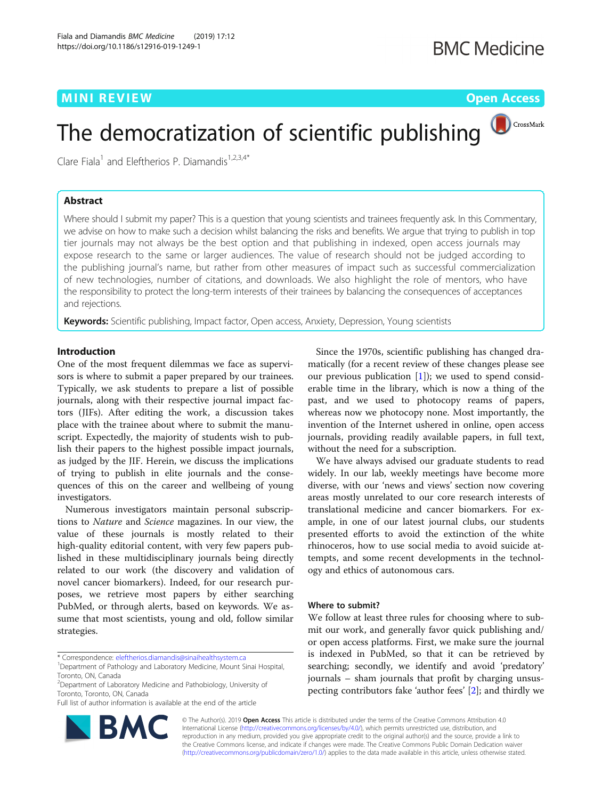# MINI REVIEW AND CONTROL CONTROL CONTROL CONTROL CONTROL CONTROL CONTROL CONTROL CONTROL CONTROL CONTROL CONTROL

CrossMark

# The democratization of scientific publishing



# Abstract

Where should I submit my paper? This is a question that young scientists and trainees frequently ask. In this Commentary, we advise on how to make such a decision whilst balancing the risks and benefits. We argue that trying to publish in top tier journals may not always be the best option and that publishing in indexed, open access journals may expose research to the same or larger audiences. The value of research should not be judged according to the publishing journal's name, but rather from other measures of impact such as successful commercialization of new technologies, number of citations, and downloads. We also highlight the role of mentors, who have the responsibility to protect the long-term interests of their trainees by balancing the consequences of acceptances and rejections.

Keywords: Scientific publishing, Impact factor, Open access, Anxiety, Depression, Young scientists

# Introduction

One of the most frequent dilemmas we face as supervisors is where to submit a paper prepared by our trainees. Typically, we ask students to prepare a list of possible journals, along with their respective journal impact factors (JIFs). After editing the work, a discussion takes place with the trainee about where to submit the manuscript. Expectedly, the majority of students wish to publish their papers to the highest possible impact journals, as judged by the JIF. Herein, we discuss the implications of trying to publish in elite journals and the consequences of this on the career and wellbeing of young investigators.

Numerous investigators maintain personal subscriptions to Nature and Science magazines. In our view, the value of these journals is mostly related to their high-quality editorial content, with very few papers published in these multidisciplinary journals being directly related to our work (the discovery and validation of novel cancer biomarkers). Indeed, for our research purposes, we retrieve most papers by either searching PubMed, or through alerts, based on keywords. We assume that most scientists, young and old, follow similar strategies.

\* Correspondence: [eleftherios.diamandis@sinaihealthsystem.ca](mailto:eleftherios.diamandis@sinaihealthsystem.ca) <sup>1</sup>

Full list of author information is available at the end of the article



Since the 1970s, scientific publishing has changed dramatically (for a recent review of these changes please see our previous publication [[1\]](#page-2-0)); we used to spend considerable time in the library, which is now a thing of the past, and we used to photocopy reams of papers, whereas now we photocopy none. Most importantly, the invention of the Internet ushered in online, open access journals, providing readily available papers, in full text, without the need for a subscription.

We have always advised our graduate students to read widely. In our lab, weekly meetings have become more diverse, with our 'news and views' section now covering areas mostly unrelated to our core research interests of translational medicine and cancer biomarkers. For example, in one of our latest journal clubs, our students presented efforts to avoid the extinction of the white rhinoceros, how to use social media to avoid suicide attempts, and some recent developments in the technology and ethics of autonomous cars.

# Where to submit?

We follow at least three rules for choosing where to submit our work, and generally favor quick publishing and/ or open access platforms. First, we make sure the journal is indexed in PubMed, so that it can be retrieved by searching; secondly, we identify and avoid 'predatory' journals – sham journals that profit by charging unsuspecting contributors fake 'author fees' [\[2](#page-2-0)]; and thirdly we

© The Author(s). 2019 **Open Access** This article is distributed under the terms of the Creative Commons Attribution 4.0 International License [\(http://creativecommons.org/licenses/by/4.0/](http://creativecommons.org/licenses/by/4.0/)), which permits unrestricted use, distribution, and reproduction in any medium, provided you give appropriate credit to the original author(s) and the source, provide a link to the Creative Commons license, and indicate if changes were made. The Creative Commons Public Domain Dedication waiver [\(http://creativecommons.org/publicdomain/zero/1.0/](http://creativecommons.org/publicdomain/zero/1.0/)) applies to the data made available in this article, unless otherwise stated.

<sup>&</sup>lt;sup>1</sup>Department of Pathology and Laboratory Medicine, Mount Sinai Hospital, Toronto, ON, Canada <sup>2</sup>Department of Laboratory Medicine and Pathobiology, University of

Toronto, Toronto, ON, Canada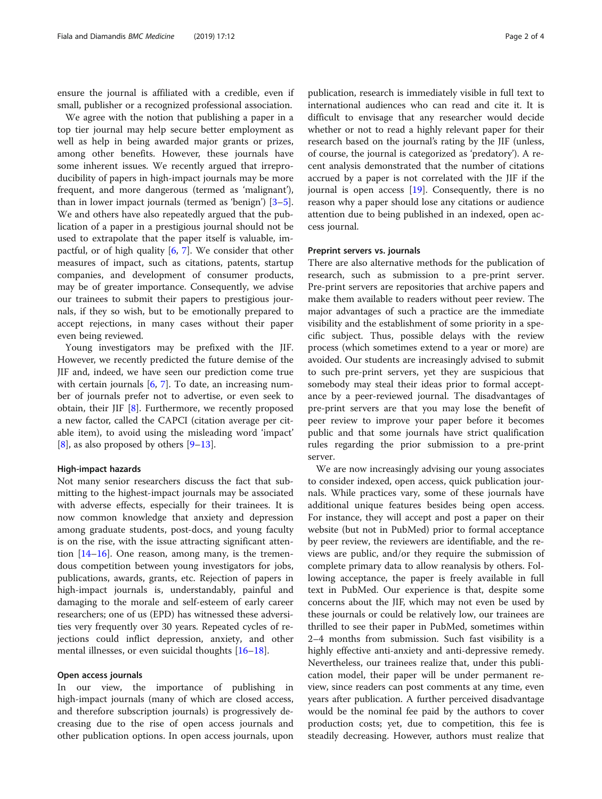ensure the journal is affiliated with a credible, even if small, publisher or a recognized professional association.

We agree with the notion that publishing a paper in a top tier journal may help secure better employment as well as help in being awarded major grants or prizes, among other benefits. However, these journals have some inherent issues. We recently argued that irreproducibility of papers in high-impact journals may be more frequent, and more dangerous (termed as 'malignant'), than in lower impact journals (termed as 'benign') [\[3](#page-2-0)–[5](#page-2-0)]. We and others have also repeatedly argued that the publication of a paper in a prestigious journal should not be used to extrapolate that the paper itself is valuable, impactful, or of high quality [\[6](#page-2-0), [7\]](#page-2-0). We consider that other measures of impact, such as citations, patents, startup companies, and development of consumer products, may be of greater importance. Consequently, we advise our trainees to submit their papers to prestigious journals, if they so wish, but to be emotionally prepared to accept rejections, in many cases without their paper even being reviewed.

Young investigators may be prefixed with the JIF. However, we recently predicted the future demise of the JIF and, indeed, we have seen our prediction come true with certain journals [[6](#page-2-0), [7\]](#page-2-0). To date, an increasing number of journals prefer not to advertise, or even seek to obtain, their JIF [[8\]](#page-2-0). Furthermore, we recently proposed a new factor, called the CAPCI (citation average per citable item), to avoid using the misleading word 'impact'  $[8]$  $[8]$ , as also proposed by others  $[9-13]$  $[9-13]$  $[9-13]$  $[9-13]$  $[9-13]$ .

## High-impact hazards

Not many senior researchers discuss the fact that submitting to the highest-impact journals may be associated with adverse effects, especially for their trainees. It is now common knowledge that anxiety and depression among graduate students, post-docs, and young faculty is on the rise, with the issue attracting significant attention  $[14-16]$  $[14-16]$  $[14-16]$ . One reason, among many, is the tremendous competition between young investigators for jobs, publications, awards, grants, etc. Rejection of papers in high-impact journals is, understandably, painful and damaging to the morale and self-esteem of early career researchers; one of us (EPD) has witnessed these adversities very frequently over 30 years. Repeated cycles of rejections could inflict depression, anxiety, and other mental illnesses, or even suicidal thoughts  $[16–18]$  $[16–18]$  $[16–18]$  $[16–18]$  $[16–18]$ .

# Open access journals

In our view, the importance of publishing in high-impact journals (many of which are closed access, and therefore subscription journals) is progressively decreasing due to the rise of open access journals and other publication options. In open access journals, upon publication, research is immediately visible in full text to international audiences who can read and cite it. It is difficult to envisage that any researcher would decide whether or not to read a highly relevant paper for their research based on the journal's rating by the JIF (unless, of course, the journal is categorized as 'predatory'). A recent analysis demonstrated that the number of citations accrued by a paper is not correlated with the JIF if the journal is open access  $[19]$ . Consequently, there is no reason why a paper should lose any citations or audience attention due to being published in an indexed, open access journal.

# Preprint servers vs. journals

There are also alternative methods for the publication of research, such as submission to a pre-print server. Pre-print servers are repositories that archive papers and make them available to readers without peer review. The major advantages of such a practice are the immediate visibility and the establishment of some priority in a specific subject. Thus, possible delays with the review process (which sometimes extend to a year or more) are avoided. Our students are increasingly advised to submit to such pre-print servers, yet they are suspicious that somebody may steal their ideas prior to formal acceptance by a peer-reviewed journal. The disadvantages of pre-print servers are that you may lose the benefit of peer review to improve your paper before it becomes public and that some journals have strict qualification rules regarding the prior submission to a pre-print server.

We are now increasingly advising our young associates to consider indexed, open access, quick publication journals. While practices vary, some of these journals have additional unique features besides being open access. For instance, they will accept and post a paper on their website (but not in PubMed) prior to formal acceptance by peer review, the reviewers are identifiable, and the reviews are public, and/or they require the submission of complete primary data to allow reanalysis by others. Following acceptance, the paper is freely available in full text in PubMed. Our experience is that, despite some concerns about the JIF, which may not even be used by these journals or could be relatively low, our trainees are thrilled to see their paper in PubMed, sometimes within 2–4 months from submission. Such fast visibility is a highly effective anti-anxiety and anti-depressive remedy. Nevertheless, our trainees realize that, under this publication model, their paper will be under permanent review, since readers can post comments at any time, even years after publication. A further perceived disadvantage would be the nominal fee paid by the authors to cover production costs; yet, due to competition, this fee is steadily decreasing. However, authors must realize that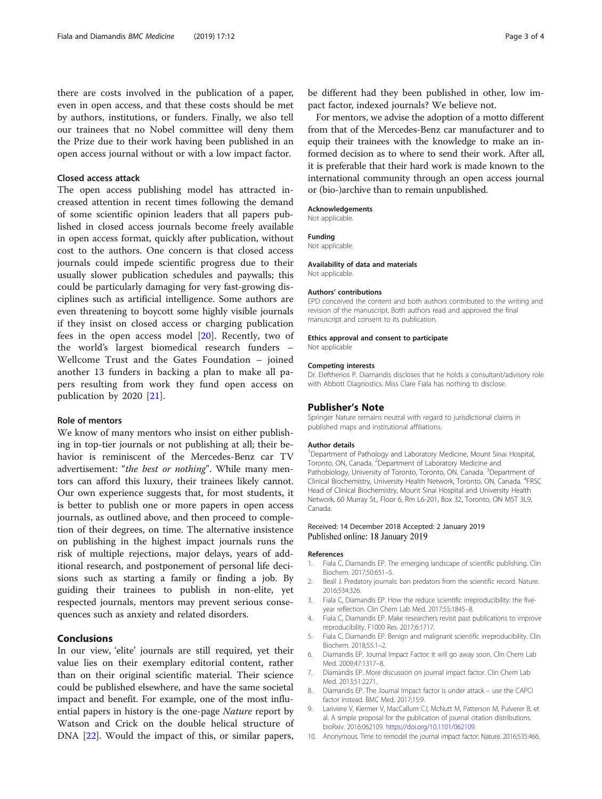<span id="page-2-0"></span>there are costs involved in the publication of a paper, even in open access, and that these costs should be met by authors, institutions, or funders. Finally, we also tell our trainees that no Nobel committee will deny them the Prize due to their work having been published in an open access journal without or with a low impact factor.

## Closed access attack

The open access publishing model has attracted increased attention in recent times following the demand of some scientific opinion leaders that all papers published in closed access journals become freely available in open access format, quickly after publication, without cost to the authors. One concern is that closed access journals could impede scientific progress due to their usually slower publication schedules and paywalls; this could be particularly damaging for very fast-growing disciplines such as artificial intelligence. Some authors are even threatening to boycott some highly visible journals if they insist on closed access or charging publication fees in the open access model  $[20]$  $[20]$ . Recently, two of the world's largest biomedical research funders – Wellcome Trust and the Gates Foundation – joined another 13 funders in backing a plan to make all papers resulting from work they fund open access on publication by 2020 [\[21](#page-3-0)].

# Role of mentors

We know of many mentors who insist on either publishing in top-tier journals or not publishing at all; their behavior is reminiscent of the Mercedes-Benz car TV advertisement: "the best or nothing". While many mentors can afford this luxury, their trainees likely cannot. Our own experience suggests that, for most students, it is better to publish one or more papers in open access journals, as outlined above, and then proceed to completion of their degrees, on time. The alternative insistence on publishing in the highest impact journals runs the risk of multiple rejections, major delays, years of additional research, and postponement of personal life decisions such as starting a family or finding a job. By guiding their trainees to publish in non-elite, yet respected journals, mentors may prevent serious consequences such as anxiety and related disorders.

# Conclusions

In our view, 'elite' journals are still required, yet their value lies on their exemplary editorial content, rather than on their original scientific material. Their science could be published elsewhere, and have the same societal impact and benefit. For example, one of the most influential papers in history is the one-page Nature report by Watson and Crick on the double helical structure of DNA [\[22](#page-3-0)]. Would the impact of this, or similar papers, be different had they been published in other, low impact factor, indexed journals? We believe not.

For mentors, we advise the adoption of a motto different from that of the Mercedes-Benz car manufacturer and to equip their trainees with the knowledge to make an informed decision as to where to send their work. After all, it is preferable that their hard work is made known to the international community through an open access journal or (bio-)archive than to remain unpublished.

# Acknowledgements

Not applicable.

Funding

Not applicable.

#### Availability of data and materials

Not applicable.

#### Authors' contributions

EPD conceived the content and both authors contributed to the writing and revision of the manuscript. Both authors read and approved the final manuscript and consent to its publication.

#### Ethics approval and consent to participate Not applicable

#### Competing interests

Dr. Eleftherios P. Diamandis discloses that he holds a consultant/advisory role with Abbott Diagnostics. Miss Clare Fiala has nothing to disclose.

## Publisher's Note

Springer Nature remains neutral with regard to jurisdictional claims in published maps and institutional affiliations.

#### Author details

<sup>1</sup>Department of Pathology and Laboratory Medicine, Mount Sinai Hospital Toronto, ON, Canada. <sup>2</sup> Department of Laboratory Medicine and Pathobiology, University of Toronto, Toronto, ON, Canada. <sup>3</sup>Department of Clinical Biochemistry, University Health Network, Toronto, ON, Canada. <sup>4</sup>FRSC Head of Clinical Biochemistry, Mount Sinai Hospital and University Health Network, 60 Murray St., Floor 6, Rm L6-201, Box 32, Toronto, ON M5T 3L9, Canada.

# Received: 14 December 2018 Accepted: 2 January 2019 Published online: 18 January 2019

#### References

- 1. Fiala C, Diamandis EP. The emerging landscape of scientific publishing. Clin Biochem. 2017;50:651–5.
- 2. Beall J. Predatory journals: ban predators from the scientific record. Nature. 2016;534:326.
- 3. Fiala C, Diamandis EP. How the reduce scientific irreproducibility: the fiveyear reflection. Clin Chem Lab Med. 2017;55:1845–8.
- 4. Fiala C, Diamandis EP. Make researchers revisit past publications to improve reproducibility. F1000 Res. 2017;6:1717.
- 5. Fiala C, Diamandis EP. Benign and malignant scientific irreproducibility. Clin Biochem. 2018;55:1–2.
- 6. Diamandis EP. Journal Impact Factor: it will go away soon. Clin Chem Lab Med. 2009;47:1317–8.
- 7. Diamandis EP. More discussion on journal impact factor. Clin Chem Lab Med. 2013;51:2271.
- 8. Diamandis EP. The Journal Impact factor is under attack use the CAPCI factor instead. BMC Med. 2017;15:9.
- 9. Lariviere V, Kiermer V, MacCallum CJ, McNutt M, Patterson M, Pulverer B, et al. A simple proposal for the publication of journal citation distributions. bioRxiv. 2016:062109. [https://doi.org/10.1101/062109.](https://doi.org/10.1101/062109)
- 10. Anonymous. Time to remodel the journal impact factor. Nature. 2016;535:466.